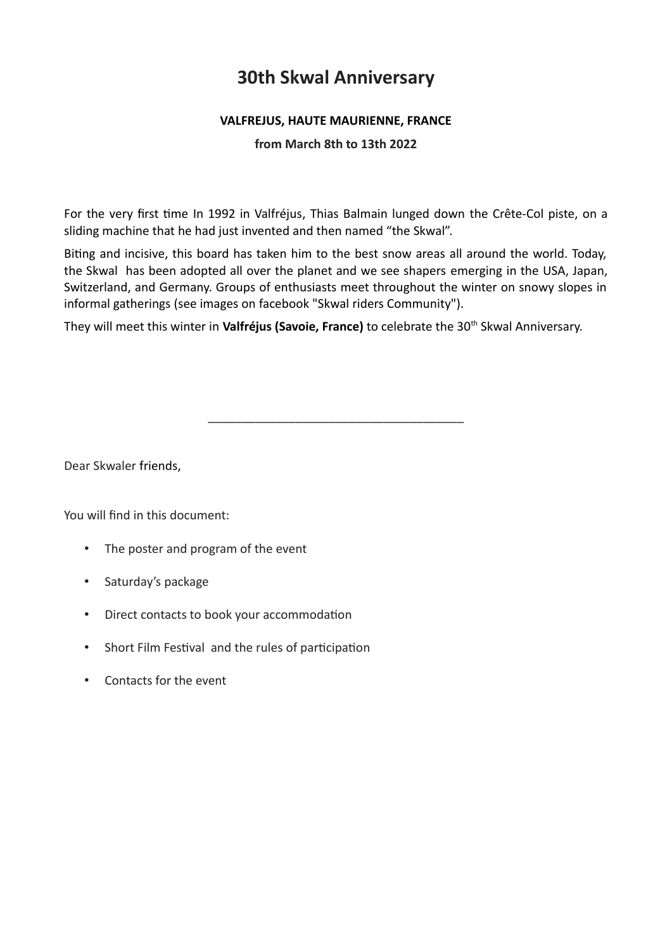# **30th Skwal Anniversary**

#### **VALFREJUS, HAUTE MAURIENNE, FRANCE**

**from March 8th to 13th 2022**

For the very first time In 1992 in Valfréjus, Thias Balmain lunged down the Crête-Col piste, on a sliding machine that he had just invented and then named "the Skwal".

Biting and incisive, this board has taken him to the best snow areas all around the world. Today, the Skwal has been adopted all over the planet and we see shapers emerging in the USA, Japan, Switzerland, and Germany. Groups of enthusiasts meet throughout the winter on snowy slopes in informal gatherings (see images on facebook "Skwal riders Community").

They will meet this winter in Valfréjus (Savoie, France) to celebrate the 30<sup>th</sup> Skwal Anniversary.

\_\_\_\_\_\_\_\_\_\_\_\_\_\_\_\_\_\_\_\_\_\_\_\_\_\_\_\_\_\_\_\_\_\_\_\_\_\_

Dear Skwaler friends,

You will find in this document:

- The poster and program of the event
- Saturday's package
- Direct contacts to book your accommodation
- Short Film Festival and the rules of participation
- Contacts for the event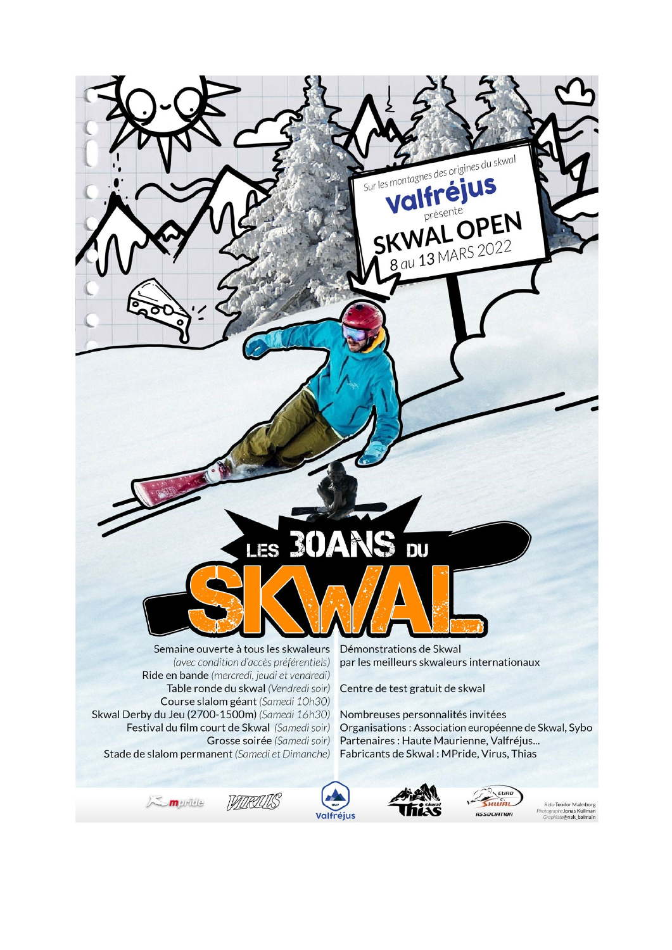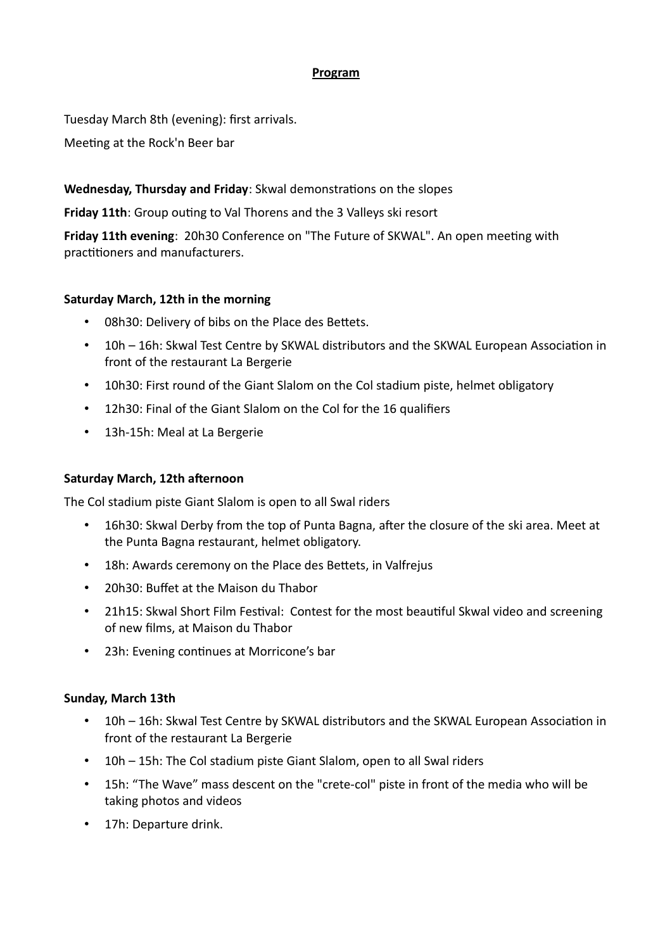## **Program**

Tuesday March 8th (evening): first arrivals.

Meeting at the Rock'n Beer bar

# **Wednesday, Thursday and Friday**: Skwal demonstrations on the slopes

**Friday 11th**: Group outing to Val Thorens and the 3 Valleys ski resort

**Friday 11th evening**: 20h30 Conference on "The Future of SKWAL". An open meeting with practitioners and manufacturers.

#### **Saturday March, 12th in the morning**

- 08h30: Delivery of bibs on the Place des Bettets.
- 10h 16h: Skwal Test Centre by SKWAL distributors and the SKWAL European Association in front of the restaurant La Bergerie
- 10h30: First round of the Giant Slalom on the Col stadium piste, helmet obligatory
- 12h30: Final of the Giant Slalom on the Col for the 16 qualifiers
- 13h-15h: Meal at La Bergerie

#### **Saturday March, 12th afternoon**

The Col stadium piste Giant Slalom is open to all Swal riders

- 16h30: Skwal Derby from the top of Punta Bagna, after the closure of the ski area. Meet at the Punta Bagna restaurant, helmet obligatory.
- 18h: Awards ceremony on the Place des Bettets, in Valfrejus
- 20h30: Buffet at the Maison du Thabor
- 21h15: Skwal Short Film Festival: Contest for the most beautiful Skwal video and screening of new films, at Maison du Thabor
- 23h: Evening continues at Morricone's bar

#### **Sunday, March 13th**

- 10h 16h: Skwal Test Centre by SKWAL distributors and the SKWAL European Association in front of the restaurant La Bergerie
- 10h 15h: The Col stadium piste Giant Slalom, open to all Swal riders
- 15h: "The Wave" mass descent on the "crete-col" piste in front of the media who will be taking photos and videos
- 17h: Departure drink.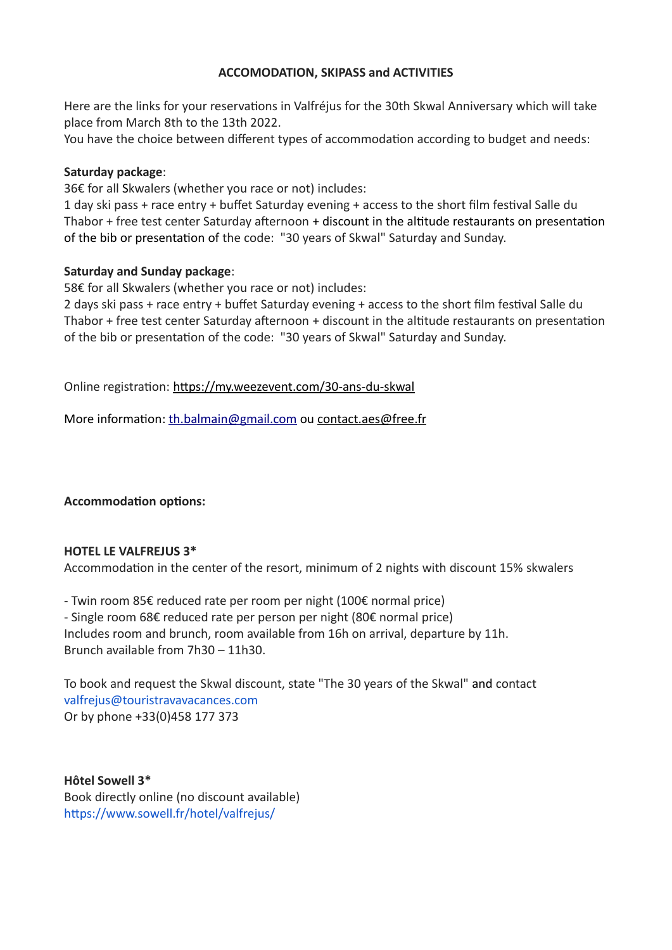# **ACCOMODATION, SKIPASS and ACTIVITIES**

Here are the links for your reservations in Valfréjus for the 30th Skwal Anniversary which will take place from March 8th to the 13th 2022.

You have the choice between different types of accommodation according to budget and needs:

## **Saturday package**:

36€ for all Skwalers (whether you race or not) includes:

1 day ski pass + race entry + buffet Saturday evening + access to the short film festival Salle du Thabor + free test center Saturday afternoon + discount in the altitude restaurants on presentation of the bib or presentation of the code: "30 years of Skwal" Saturday and Sunday.

#### **Saturday and Sunday package**:

58€ for all Skwalers (whether you race or not) includes:

2 days ski pass + race entry + buffet Saturday evening + access to the short film festival Salle du Thabor + free test center Saturday afternoon + discount in the altitude restaurants on presentation of the bib or presentation of the code: "30 years of Skwal" Saturday and Sunday.

Online registration:<https://my.weezevent.com/30-ans-du-skwal>

More information: [th.balmain@gmail.com](mailto:th.balmain@gmail.com) ou [contact.aes@free.fr](mailto:contact.aes@free.fr) 

**Accommodation options:** 

#### **HOTEL LE VALFREJUS 3\***

Accommodation in the center of the resort, minimum of 2 nights with discount 15% skwalers

- Twin room 85€ reduced rate per room per night (100€ normal price)

- Single room 68€ reduced rate per person per night (80€ normal price) Includes room and brunch, room available from 16h on arrival, departure by 11h. Brunch available from 7h30 – 11h30.

To book and request the Skwal discount, state "The 30 years of the Skwal" and contact [valfrejus@touristravavacances.com](mailto:valfrejus@touristravacances.com) Or by phone +33(0)458 177 373

**Hôtel Sowell 3\*** Book directly online (no discount available) <https://www.sowell.fr/hotel/valfrejus/>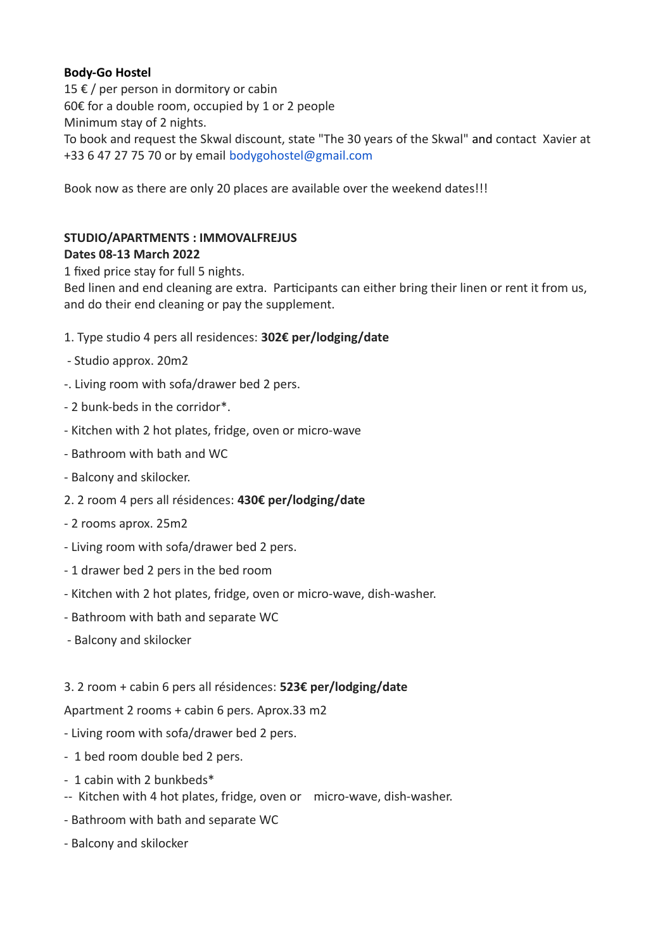# **Body-Go Hostel**

15 € / per person in dormitory or cabin 60€ for a double room, occupied by 1 or 2 people Minimum stay of 2 nights. To book and request the Skwal discount, state "The 30 years of the Skwal" and contact Xavier at +33 6 47 27 75 70 or by email [bodygohostel@gmail.com](mailto:bodygohostel@gmail.com) 

Book now as there are only 20 places are available over the weekend dates!!!

#### **STUDIO/APARTMENTS : IMMOVALFREJUS Dates 08-13 March 2022**

1 fixed price stay for full 5 nights.

Bed linen and end cleaning are extra. Participants can either bring their linen or rent it from us, and do their end cleaning or pay the supplement.

- 1. Type studio 4 pers all residences: **302€ per/lodging/date**
- Studio approx. 20m2
- -. Living room with sofa/drawer bed 2 pers.
- 2 bunk-beds in the corridor\*.
- Kitchen with 2 hot plates, fridge, oven or micro-wave
- Bathroom with bath and WC
- Balcony and skilocker.
- 2. 2 room 4 pers all résidences: **430€ per/lodging/date**
- 2 rooms aprox. 25m2
- Living room with sofa/drawer bed 2 pers.
- 1 drawer bed 2 pers in the bed room
- Kitchen with 2 hot plates, fridge, oven or micro-wave, dish-washer.
- Bathroom with bath and separate WC
- Balcony and skilocker

# 3. 2 room + cabin 6 pers all résidences: **523€ per/lodging/date**

Apartment 2 rooms + cabin 6 pers. Aprox.33 m2

- Living room with sofa/drawer bed 2 pers.
- 1 bed room double bed 2 pers.
- 1 cabin with 2 bunkbeds\*
- -- Kitchen with 4 hot plates, fridge, oven or micro-wave, dish-washer.
- Bathroom with bath and separate WC
- Balcony and skilocker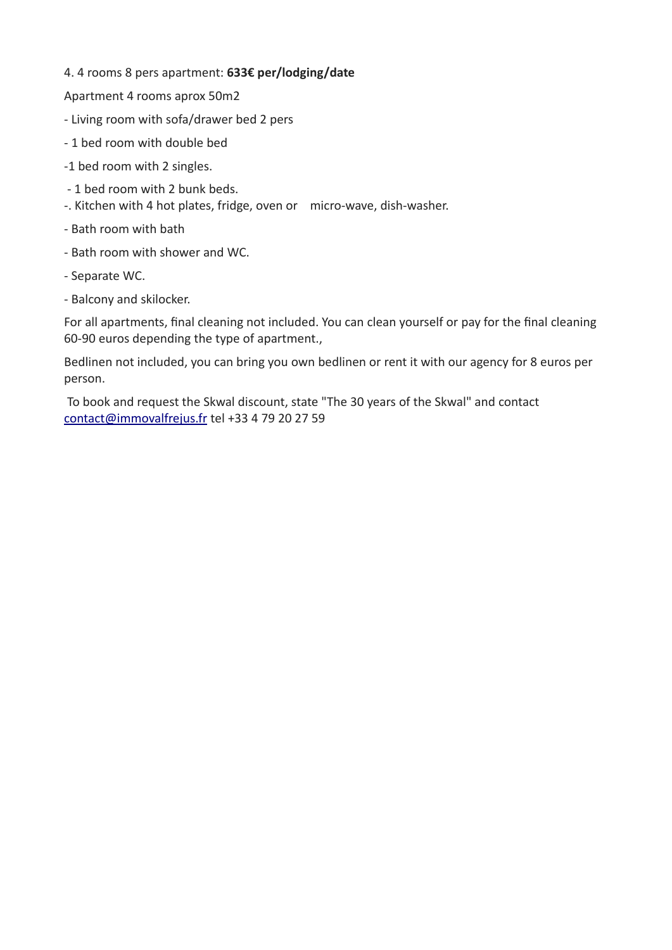- 4. 4 rooms 8 pers apartment: **633€ per/lodging/date**
- Apartment 4 rooms aprox 50m2
- Living room with sofa/drawer bed 2 pers
- 1 bed room with double bed
- -1 bed room with 2 singles.
- 1 bed room with 2 bunk beds.
- -. Kitchen with 4 hot plates, fridge, oven or micro-wave, dish-washer.
- Bath room with bath
- Bath room with shower and WC.
- Separate WC.
- Balcony and skilocker.

For all apartments, final cleaning not included. You can clean yourself or pay for the final cleaning 60-90 euros depending the type of apartment.,

Bedlinen not included, you can bring you own bedlinen or rent it with our agency for 8 euros per person.

To book and request the Skwal discount, state "The 30 years of the Skwal" and contact [contact@immovalfrejus.fr](mailto:contact@immovalfrejus.fr) tel +33 4 79 20 27 59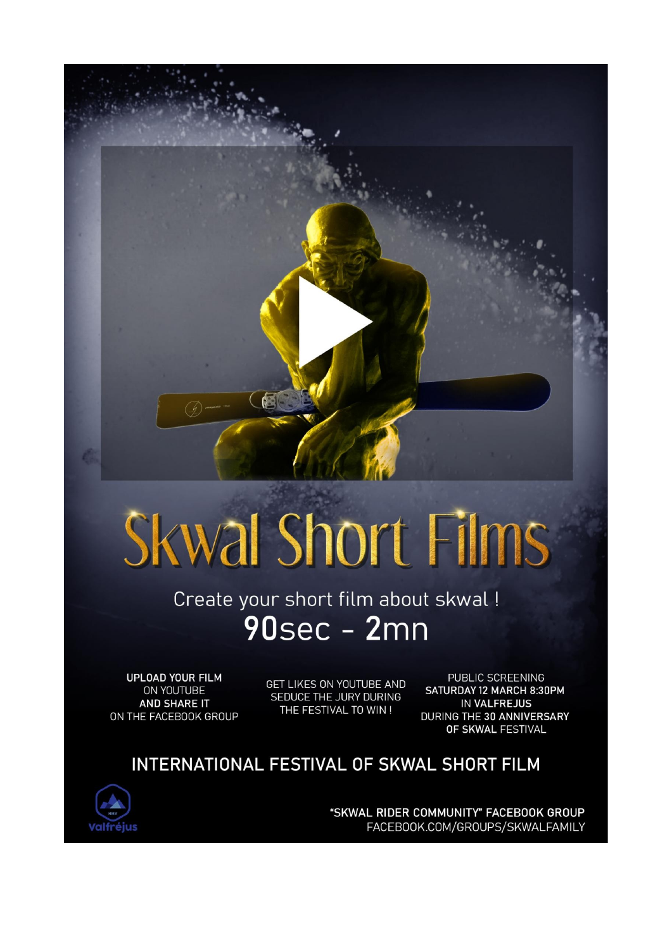

# **Skwal Short Films**

Create your short film about skwal ! 90sec - 2mn

**UPLOAD YOUR FILM** ON YOUTUBE **AND SHARE IT** ON THE FACEBOOK GROUP

GET LIKES ON YOUTUBE AND SEDUCE THE JURY DURING THE FESTIVAL TO WIN!

PUBLIC SCREENING SATURDAY 12 MARCH 8:30PM **IN VALFREJUS** DURING THE 30 ANNIVERSARY OF SKWAL FESTIVAL

# INTERNATIONAL FESTIVAL OF SKWAL SHORT FILM



"SKWAL RIDER COMMUNITY" FACEBOOK GROUP FACEBOOK.COM/GROUPS/SKWALFAMILY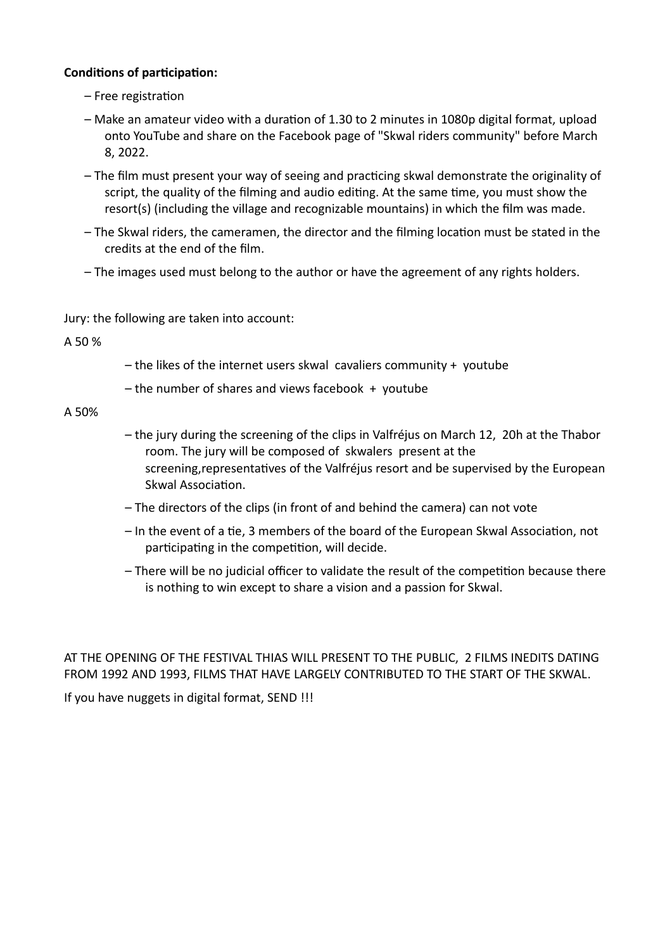#### **Conditions of participation:**

- Free registration
- Make an amateur video with a duration of 1.30 to 2 minutes in 1080p digital format, upload onto YouTube and share on the Facebook page of "Skwal riders community" before March 8, 2022.
- The film must present your way of seeing and practicing skwal demonstrate the originality of script, the quality of the filming and audio editing. At the same time, you must show the resort(s) (including the village and recognizable mountains) in which the film was made.
- The Skwal riders, the cameramen, the director and the filming location must be stated in the credits at the end of the film.
- The images used must belong to the author or have the agreement of any rights holders.

Jury: the following are taken into account:

A 50 %

- the likes of the internet users skwal cavaliers community + youtube
- the number of shares and views facebook + youtube

A 50%

- the jury during the screening of the clips in Valfréjus on March 12, 20h at the Thabor room. The jury will be composed of skwalers present at the screening,representatives of the Valfréjus resort and be supervised by the European Skwal Association.
- The directors of the clips (in front of and behind the camera) can not vote
- In the event of a tie, 3 members of the board of the European Skwal Association, not participating in the competition, will decide.
- There will be no judicial officer to validate the result of the competition because there is nothing to win except to share a vision and a passion for Skwal.

# AT THE OPENING OF THE FESTIVAL THIAS WILL PRESENT TO THE PUBLIC, 2 FILMS INEDITS DATING FROM 1992 AND 1993, FILMS THAT HAVE LARGELY CONTRIBUTED TO THE START OF THE SKWAL.

If you have nuggets in digital format, SEND !!!